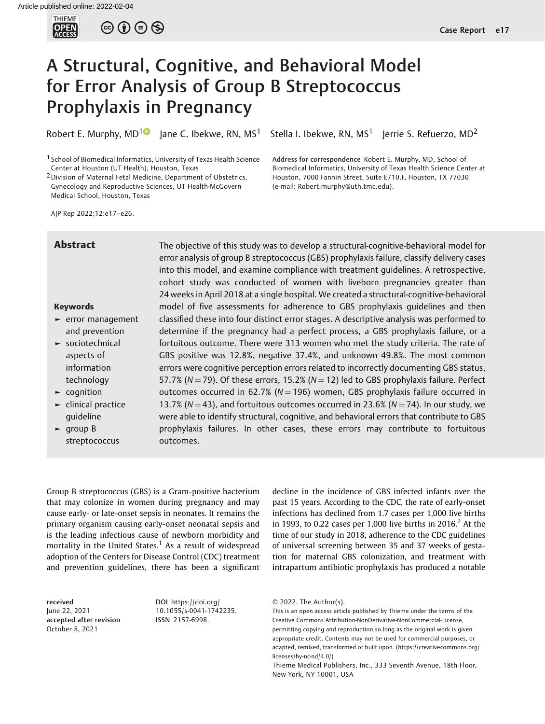

 $\circledcirc$   $\circledcirc$   $\circledcirc$ 

# A Structural, Cognitive, and Behavioral Model for Error Analysis of Group B Streptococcus Prophylaxis in Pregnancy

Robert E. Murphy, MD<sup>[1](https://orcid.org/0000-0002-2889-5550)</sup> Jane C. Ibekwe, RN, MS<sup>1</sup> Stella I. Ibekwe, RN, MS<sup>1</sup> Jerrie S. Refuerzo, MD<sup>2</sup>

1 School of Biomedical Informatics, University of Texas Health Science Center at Houston (UT Health), Houston, Texas

2Division of Maternal Fetal Medicine, Department of Obstetrics, Gynecology and Reproductive Sciences, UT Health-McGovern Medical School, Houston, Texas

Address for correspondence Robert E. Murphy, MD, School of Biomedical Informatics, University of Texas Health Science Center at Houston, 7000 Fannin Street, Suite E710.F, Houston, TX 77030 (e-mail: [Robert.murphy@uth.tmc.edu](mailto:Robert.murphy@uth.tmc.edu)).

AJP Rep 2022;12:e17–e26.

# Keywords

- ► error management and prevention
- ► sociotechnical aspects of information technology
- ► cognition
- ► clinical practice guideline
- ► group B streptococcus

**Abstract** The objective of this study was to develop a structural-cognitive-behavioral model for error analysis of group B streptococcus (GBS) prophylaxis failure, classify delivery cases into this model, and examine compliance with treatment guidelines. A retrospective, cohort study was conducted of women with liveborn pregnancies greater than 24 weeks in April 2018 at a single hospital. We created a structural-cognitive-behavioral model of five assessments for adherence to GBS prophylaxis guidelines and then classified these into four distinct error stages. A descriptive analysis was performed to determine if the pregnancy had a perfect process, a GBS prophylaxis failure, or a fortuitous outcome. There were 313 women who met the study criteria. The rate of GBS positive was 12.8%, negative 37.4%, and unknown 49.8%. The most common errors were cognitive perception errors related to incorrectly documenting GBS status, 57.7% ( $N = 79$ ). Of these errors, 15.2% ( $N = 12$ ) led to GBS prophylaxis failure. Perfect outcomes occurred in 62.7% ( $N = 196$ ) women, GBS prophylaxis failure occurred in 13.7% ( $N = 43$ ), and fortuitous outcomes occurred in 23.6% ( $N = 74$ ). In our study, we were able to identify structural, cognitive, and behavioral errors that contribute to GBS prophylaxis failures. In other cases, these errors may contribute to fortuitous outcomes.

Group B streptococcus (GBS) is a Gram-positive bacterium that may colonize in women during pregnancy and may cause early- or late-onset sepsis in neonates. It remains the primary organism causing early-onset neonatal sepsis and is the leading infectious cause of newborn morbidity and mortality in the United States.<sup>1</sup> As a result of widespread adoption of the Centers for Disease Control (CDC) treatment and prevention guidelines, there has been a significant

received June 22, 2021 accepted after revision October 8, 2021

DOI [https://doi.org/](https://doi.org/10.1055/s-0041-1742235) [10.1055/s-0041-1742235](https://doi.org/10.1055/s-0041-1742235). ISSN 2157-6998.

decline in the incidence of GBS infected infants over the past 15 years. According to the CDC, the rate of early-onset infections has declined from 1.7 cases per 1,000 live births in 1993, to 0.22 cases per 1,000 live births in 2016.<sup>2</sup> At the time of our study in 2018, adherence to the CDC guidelines of universal screening between 35 and 37 weeks of gestation for maternal GBS colonization, and treatment with intrapartum antibiotic prophylaxis has produced a notable

This is an open access article published by Thieme under the terms of the Creative Commons Attribution-NonDerivative-NonCommercial-License, permitting copying and reproduction so long as the original work is given appropriate credit. Contents may not be used for commercial purposes, or adapted, remixed, transformed or built upon. (https://creativecommons.org/ licenses/by-nc-nd/4.0/)

<sup>© 2022.</sup> The Author(s).

Thieme Medical Publishers, Inc., 333 Seventh Avenue, 18th Floor, New York, NY 10001, USA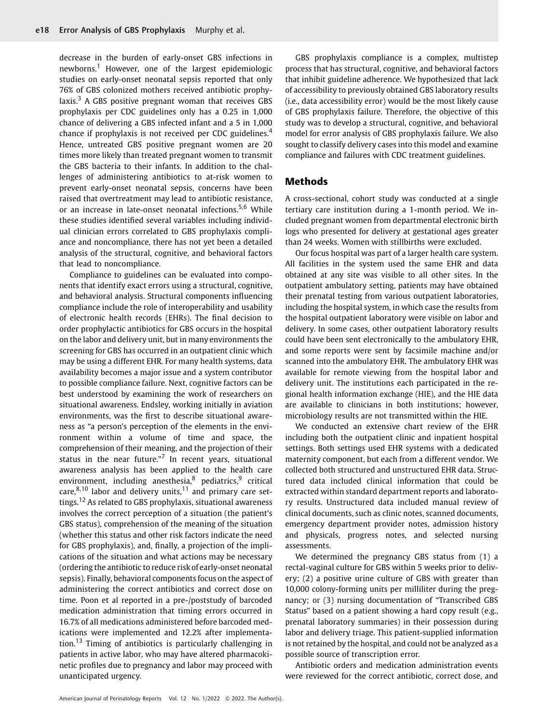decrease in the burden of early-onset GBS infections in newborns.<sup>1</sup> However, one of the largest epidemiologic studies on early-onset neonatal sepsis reported that only 76% of GBS colonized mothers received antibiotic prophylaxis. $3$  A GBS positive pregnant woman that receives GBS prophylaxis per CDC guidelines only has a 0.25 in 1,000 chance of delivering a GBS infected infant and a 5 in 1,000 chance if prophylaxis is not received per CDC guidelines.<sup>4</sup> Hence, untreated GBS positive pregnant women are 20 times more likely than treated pregnant women to transmit the GBS bacteria to their infants. In addition to the challenges of administering antibiotics to at-risk women to prevent early-onset neonatal sepsis, concerns have been raised that overtreatment may lead to antibiotic resistance, or an increase in late-onset neonatal infections.<sup>5,6</sup> While these studies identified several variables including individual clinician errors correlated to GBS prophylaxis compliance and noncompliance, there has not yet been a detailed analysis of the structural, cognitive, and behavioral factors that lead to noncompliance.

Compliance to guidelines can be evaluated into components that identify exact errors using a structural, cognitive, and behavioral analysis. Structural components influencing compliance include the role of interoperability and usability of electronic health records (EHRs). The final decision to order prophylactic antibiotics for GBS occurs in the hospital on the labor and delivery unit, but in many environments the screening for GBS has occurred in an outpatient clinic which may be using a different EHR. For many health systems, data availability becomes a major issue and a system contributor to possible compliance failure. Next, cognitive factors can be best understood by examining the work of researchers on situational awareness. Endsley, working initially in aviation environments, was the first to describe situational awareness as "a person's perception of the elements in the environment within a volume of time and space, the comprehension of their meaning, and the projection of their status in the near future."<sup>7</sup> In recent years, situational awareness analysis has been applied to the health care environment, including anesthesia, $8$  pediatrics, $9$  critical care, $8,10$  labor and delivery units,  $11$  and primary care settings.<sup>12</sup> As related to GBS prophylaxis, situational awareness involves the correct perception of a situation (the patient's GBS status), comprehension of the meaning of the situation (whether this status and other risk factors indicate the need for GBS prophylaxis), and, finally, a projection of the implications of the situation and what actions may be necessary (ordering the antibiotic to reduce risk of early-onset neonatal sepsis). Finally, behavioral components focus on the aspect of administering the correct antibiotics and correct dose on time. Poon et al reported in a pre-/poststudy of barcoded medication administration that timing errors occurred in 16.7% of all medications administered before barcoded medications were implemented and 12.2% after implementation.<sup>13</sup> Timing of antibiotics is particularly challenging in patients in active labor, who may have altered pharmacokinetic profiles due to pregnancy and labor may proceed with unanticipated urgency.

GBS prophylaxis compliance is a complex, multistep process that has structural, cognitive, and behavioral factors that inhibit guideline adherence. We hypothesized that lack of accessibility to previously obtained GBS laboratory results (i.e., data accessibility error) would be the most likely cause of GBS prophylaxis failure. Therefore, the objective of this study was to develop a structural, cognitive, and behavioral model for error analysis of GBS prophylaxis failure. We also sought to classify delivery cases into this model and examine compliance and failures with CDC treatment guidelines.

# Methods

A cross-sectional, cohort study was conducted at a single tertiary care institution during a 1-month period. We included pregnant women from departmental electronic birth logs who presented for delivery at gestational ages greater than 24 weeks. Women with stillbirths were excluded.

Our focus hospital was part of a larger health care system. All facilities in the system used the same EHR and data obtained at any site was visible to all other sites. In the outpatient ambulatory setting, patients may have obtained their prenatal testing from various outpatient laboratories, including the hospital system, in which case the results from the hospital outpatient laboratory were visible on labor and delivery. In some cases, other outpatient laboratory results could have been sent electronically to the ambulatory EHR, and some reports were sent by facsimile machine and/or scanned into the ambulatory EHR. The ambulatory EHR was available for remote viewing from the hospital labor and delivery unit. The institutions each participated in the regional health information exchange (HIE), and the HIE data are available to clinicians in both institutions; however, microbiology results are not transmitted within the HIE.

We conducted an extensive chart review of the EHR including both the outpatient clinic and inpatient hospital settings. Both settings used EHR systems with a dedicated maternity component, but each from a different vendor. We collected both structured and unstructured EHR data. Structured data included clinical information that could be extracted within standard department reports and laboratory results. Unstructured data included manual review of clinical documents, such as clinic notes, scanned documents, emergency department provider notes, admission history and physicals, progress notes, and selected nursing assessments.

We determined the pregnancy GBS status from (1) a rectal-vaginal culture for GBS within 5 weeks prior to delivery; (2) a positive urine culture of GBS with greater than 10,000 colony-forming units per milliliter during the pregnancy; or (3) nursing documentation of "Transcribed GBS Status" based on a patient showing a hard copy result (e.g., prenatal laboratory summaries) in their possession during labor and delivery triage. This patient-supplied information is not retained by the hospital, and could not be analyzed as a possible source of transcription error.

Antibiotic orders and medication administration events were reviewed for the correct antibiotic, correct dose, and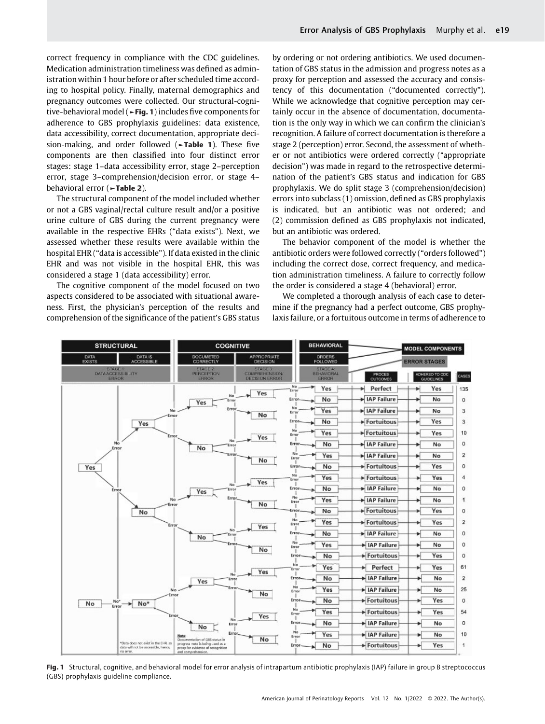correct frequency in compliance with the CDC guidelines. Medication administration timeliness was defined as administration within 1 hour before or after scheduled time according to hospital policy. Finally, maternal demographics and pregnancy outcomes were collected. Our structural-cognitive-behavioral model (►Fig. 1) includes five components for adherence to GBS prophylaxis guidelines: data existence, data accessibility, correct documentation, appropriate decision-making, and order followed (**Fable 1**). These five components are then classified into four distinct error stages: stage 1–data accessibility error, stage 2–perception error, stage 3–comprehension/decision error, or stage 4– behavioral error (►Table 2).

The structural component of the model included whether or not a GBS vaginal/rectal culture result and/or a positive urine culture of GBS during the current pregnancy were available in the respective EHRs ("data exists"). Next, we assessed whether these results were available within the hospital EHR ("data is accessible"). If data existed in the clinic EHR and was not visible in the hospital EHR, this was considered a stage 1 (data accessibility) error.

The cognitive component of the model focused on two aspects considered to be associated with situational awareness. First, the physician's perception of the results and comprehension of the significance of the patient's GBS status by ordering or not ordering antibiotics. We used documentation of GBS status in the admission and progress notes as a proxy for perception and assessed the accuracy and consistency of this documentation ("documented correctly"). While we acknowledge that cognitive perception may certainly occur in the absence of documentation, documentation is the only way in which we can confirm the clinician's recognition. A failure of correct documentation is therefore a stage 2 (perception) error. Second, the assessment of whether or not antibiotics were ordered correctly ("appropriate decision") was made in regard to the retrospective determination of the patient's GBS status and indication for GBS prophylaxis. We do split stage 3 (comprehension/decision) errors into subclass (1) omission, defined as GBS prophylaxis is indicated, but an antibiotic was not ordered; and (2) commission defined as GBS prophylaxis not indicated, but an antibiotic was ordered.

The behavior component of the model is whether the antibiotic orders were followed correctly ("orders followed") including the correct dose, correct frequency, and medication administration timeliness. A failure to correctly follow the order is considered a stage 4 (behavioral) error.

We completed a thorough analysis of each case to determine if the pregnancy had a perfect outcome, GBS prophylaxis failure, or a fortuitous outcome in terms of adherence to



Fig. 1 Structural, cognitive, and behavioral model for error analysis of intrapartum antibiotic prophylaxis (IAP) failure in group B streptococcus (GBS) prophylaxis guideline compliance.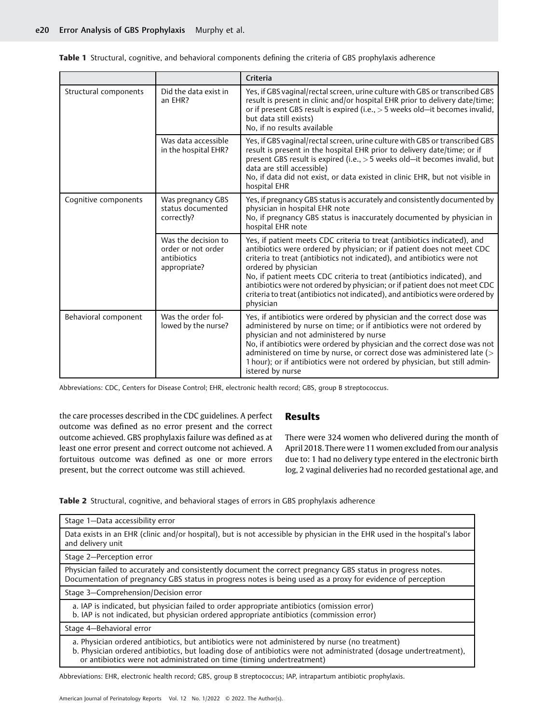Table 1 Structural, cognitive, and behavioral components defining the criteria of GBS prophylaxis adherence

|                       |                                                                          | Criteria                                                                                                                                                                                                                                                                                                                                                                                                                                                                                                      |
|-----------------------|--------------------------------------------------------------------------|---------------------------------------------------------------------------------------------------------------------------------------------------------------------------------------------------------------------------------------------------------------------------------------------------------------------------------------------------------------------------------------------------------------------------------------------------------------------------------------------------------------|
| Structural components | Did the data exist in<br>an EHR?                                         | Yes, if GBS vaginal/rectal screen, urine culture with GBS or transcribed GBS<br>result is present in clinic and/or hospital EHR prior to delivery date/time;<br>or if present GBS result is expired (i.e., $>$ 5 weeks old-it becomes invalid,<br>but data still exists)<br>No, if no results available                                                                                                                                                                                                       |
|                       | Was data accessible<br>in the hospital EHR?                              | Yes, if GBS vaginal/rectal screen, urine culture with GBS or transcribed GBS<br>result is present in the hospital EHR prior to delivery date/time; or if<br>present GBS result is expired (i.e., > 5 weeks old-it becomes invalid, but<br>data are still accessible)<br>No, if data did not exist, or data existed in clinic EHR, but not visible in<br>hospital EHR                                                                                                                                          |
| Cognitive components  | Was pregnancy GBS<br>status documented<br>correctly?                     | Yes, if pregnancy GBS status is accurately and consistently documented by<br>physician in hospital EHR note<br>No, if pregnancy GBS status is inaccurately documented by physician in<br>hospital EHR note                                                                                                                                                                                                                                                                                                    |
|                       | Was the decision to<br>order or not order<br>antibiotics<br>appropriate? | Yes, if patient meets CDC criteria to treat (antibiotics indicated), and<br>antibiotics were ordered by physician; or if patient does not meet CDC<br>criteria to treat (antibiotics not indicated), and antibiotics were not<br>ordered by physician<br>No, if patient meets CDC criteria to treat (antibiotics indicated), and<br>antibiotics were not ordered by physician; or if patient does not meet CDC<br>criteria to treat (antibiotics not indicated), and antibiotics were ordered by<br>physician |
| Behavioral component  | Was the order fol-<br>lowed by the nurse?                                | Yes, if antibiotics were ordered by physician and the correct dose was<br>administered by nurse on time; or if antibiotics were not ordered by<br>physician and not administered by nurse<br>No, if antibiotics were ordered by physician and the correct dose was not<br>administered on time by nurse, or correct dose was administered late (><br>1 hour); or if antibiotics were not ordered by physician, but still admin-<br>istered by nurse                                                           |

Abbreviations: CDC, Centers for Disease Control; EHR, electronic health record; GBS, group B streptococcus.

the care processes described in the CDC guidelines. A perfect outcome was defined as no error present and the correct outcome achieved. GBS prophylaxis failure was defined as at least one error present and correct outcome not achieved. A fortuitous outcome was defined as one or more errors present, but the correct outcome was still achieved.

# Results

There were 324 women who delivered during the month of April 2018. There were 11 women excluded from our analysis due to: 1 had no delivery type entered in the electronic birth log, 2 vaginal deliveries had no recorded gestational age, and

Table 2 Structural, cognitive, and behavioral stages of errors in GBS prophylaxis adherence

| Stage 1-Data accessibility error                                                                                                                                                                                                                                                              |  |  |  |
|-----------------------------------------------------------------------------------------------------------------------------------------------------------------------------------------------------------------------------------------------------------------------------------------------|--|--|--|
| Data exists in an EHR (clinic and/or hospital), but is not accessible by physician in the EHR used in the hospital's labor<br>and delivery unit                                                                                                                                               |  |  |  |
| Stage 2-Perception error                                                                                                                                                                                                                                                                      |  |  |  |
| Physician failed to accurately and consistently document the correct pregnancy GBS status in progress notes.<br>Documentation of pregnancy GBS status in progress notes is being used as a proxy for evidence of perception                                                                   |  |  |  |
| Stage 3-Comprehension/Decision error                                                                                                                                                                                                                                                          |  |  |  |
| a. IAP is indicated, but physician failed to order appropriate antibiotics (omission error)<br>b. IAP is not indicated, but physician ordered appropriate antibiotics (commission error)                                                                                                      |  |  |  |
| Stage 4-Behavioral error                                                                                                                                                                                                                                                                      |  |  |  |
| a. Physician ordered antibiotics, but antibiotics were not administered by nurse (no treatment)<br>b. Physician ordered antibiotics, but loading dose of antibiotics were not administrated (dosage undertreatment),<br>or antibiotics were not administrated on time (timing undertreatment) |  |  |  |

Abbreviations: EHR, electronic health record; GBS, group B streptococcus; IAP, intrapartum antibiotic prophylaxis.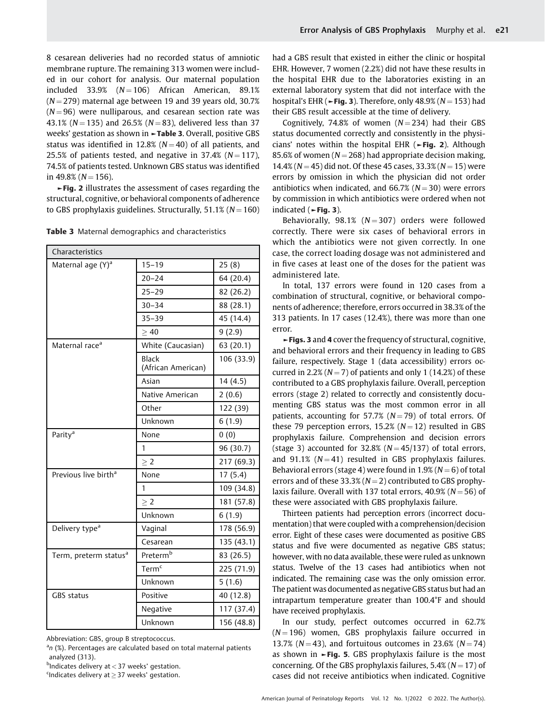8 cesarean deliveries had no recorded status of amniotic membrane rupture. The remaining 313 women were included in our cohort for analysis. Our maternal population included 33.9%  $(N = 106)$  African American, 89.1%  $(N = 279)$  maternal age between 19 and 39 years old, 30.7%  $(N = 96)$  were nulliparous, and cesarean section rate was 43.1% ( $N = 135$ ) and 26.5% ( $N = 83$ ), delivered less than 37 weeks' gestation as shown in **-Table 3**. Overall, positive GBS status was identified in 12.8% ( $N = 40$ ) of all patients, and 25.5% of patients tested, and negative in 37.4% ( $N = 117$ ), 74.5% of patients tested. Unknown GBS status was identified in 49.8% ( $N = 156$ ).

►Fig. 2 illustrates the assessment of cases regarding the structural, cognitive, or behavioral components of adherence to GBS prophylaxis guidelines. Structurally,  $51.1\%$  ( $N = 160$ )

| Characteristics                   |                                    |            |  |  |
|-----------------------------------|------------------------------------|------------|--|--|
| Maternal age (Y) <sup>a</sup>     | $15 - 19$                          | 25(8)      |  |  |
|                                   | $20 - 24$                          | 64 (20.4)  |  |  |
|                                   | $25 - 29$                          | 82 (26.2)  |  |  |
|                                   | $30 - 34$                          | 88 (28.1)  |  |  |
|                                   | $35 - 39$                          | 45 (14.4)  |  |  |
|                                   | >40                                | 9(2.9)     |  |  |
| Maternal race <sup>a</sup>        | White (Caucasian)                  | 63 (20.1)  |  |  |
|                                   | <b>Black</b><br>(African American) | 106 (33.9) |  |  |
|                                   | Asian                              | 14 (4.5)   |  |  |
|                                   | Native American                    | 2(0.6)     |  |  |
|                                   | Other                              | 122 (39)   |  |  |
|                                   | Unknown                            | 6(1.9)     |  |  |
| Parity <sup>a</sup>               | None                               | 0(0)       |  |  |
|                                   | 1                                  | 96 (30.7)  |  |  |
|                                   | > 2                                | 217 (69.3) |  |  |
| Previous live birth <sup>a</sup>  | None                               | 17(5.4)    |  |  |
|                                   | 1                                  | 109 (34.8) |  |  |
|                                   | > 2                                | 181 (57.8) |  |  |
|                                   | Unknown                            | 6(1.9)     |  |  |
| Delivery type <sup>a</sup>        | Vaginal                            | 178 (56.9) |  |  |
|                                   | Cesarean                           | 135 (43.1) |  |  |
| Term, preterm status <sup>a</sup> | Preterm <sup>b</sup>               | 83 (26.5)  |  |  |
|                                   | Term <sup>c</sup>                  | 225 (71.9) |  |  |
|                                   | Unknown                            | 5(1.6)     |  |  |
| <b>GBS</b> status                 | Positive                           | 40 (12.8)  |  |  |
|                                   | Negative                           | 117 (37.4) |  |  |
|                                   | Unknown                            | 156 (48.8) |  |  |

Table 3 Maternal demographics and characteristics

Abbreviation: GBS, group B streptococcus.

<sup>a</sup>n (%). Percentages are calculated based on total maternal patients analyzed (313).

b Indicates delivery at < 37 weeks' gestation.

 $\Omega$ Indicates delivery at  $\geq$  37 weeks' gestation.

had a GBS result that existed in either the clinic or hospital EHR. However, 7 women (2.2%) did not have these results in the hospital EHR due to the laboratories existing in an external laboratory system that did not interface with the hospital's EHR ( $\blacktriangleright$ Fig. 3). Therefore, only 48.9% ( $N = 153$ ) had their GBS result accessible at the time of delivery.

Cognitively, 74.8% of women  $(N = 234)$  had their GBS status documented correctly and consistently in the physicians' notes within the hospital EHR ( $\blacktriangleright$ Fig. 2). Although 85.6% of women ( $N = 268$ ) had appropriate decision making, 14.4% ( $N = 45$ ) did not. Of these 45 cases, 33.3% ( $N = 15$ ) were errors by omission in which the physician did not order antibiotics when indicated, and 66.7% ( $N = 30$ ) were errors by commission in which antibiotics were ordered when not indicated (►Fig. 3).

Behaviorally,  $98.1\%$  (N = 307) orders were followed correctly. There were six cases of behavioral errors in which the antibiotics were not given correctly. In one case, the correct loading dosage was not administered and in five cases at least one of the doses for the patient was administered late.

In total, 137 errors were found in 120 cases from a combination of structural, cognitive, or behavioral components of adherence; therefore, errors occurred in 38.3% of the 313 patients. In 17 cases (12.4%), there was more than one error.

►Figs. 3 and 4 cover the frequency of structural, cognitive, and behavioral errors and their frequency in leading to GBS failure, respectively. Stage 1 (data accessibility) errors occurred in 2.2% ( $N = 7$ ) of patients and only 1 (14.2%) of these contributed to a GBS prophylaxis failure. Overall, perception errors (stage 2) related to correctly and consistently documenting GBS status was the most common error in all patients, accounting for 57.7% ( $N = 79$ ) of total errors. Of these 79 perception errors, 15.2% ( $N = 12$ ) resulted in GBS prophylaxis failure. Comprehension and decision errors (stage 3) accounted for 32.8% ( $N = 45/137$ ) of total errors, and 91.1%  $(N = 41)$  resulted in GBS prophylaxis failures. Behavioral errors (stage 4) were found in 1.9% ( $N = 6$ ) of total errors and of these 33.3% ( $N = 2$ ) contributed to GBS prophylaxis failure. Overall with 137 total errors,  $40.9\%$  ( $N = 56$ ) of these were associated with GBS prophylaxis failure.

Thirteen patients had perception errors (incorrect documentation) that were coupled with a comprehension/decision error. Eight of these cases were documented as positive GBS status and five were documented as negative GBS status; however, with no data available, these were ruled as unknown status. Twelve of the 13 cases had antibiotics when not indicated. The remaining case was the only omission error. The patient was documented as negative GBS status but had an intrapartum temperature greater than 100.4°F and should have received prophylaxis.

In our study, perfect outcomes occurred in 62.7%  $(N = 196)$  women, GBS prophylaxis failure occurred in 13.7% ( $N = 43$ ), and fortuitous outcomes in 23.6% ( $N = 74$ ) as shown in ►Fig. 5. GBS prophylaxis failure is the most concerning. Of the GBS prophylaxis failures, 5.4% ( $N = 17$ ) of cases did not receive antibiotics when indicated. Cognitive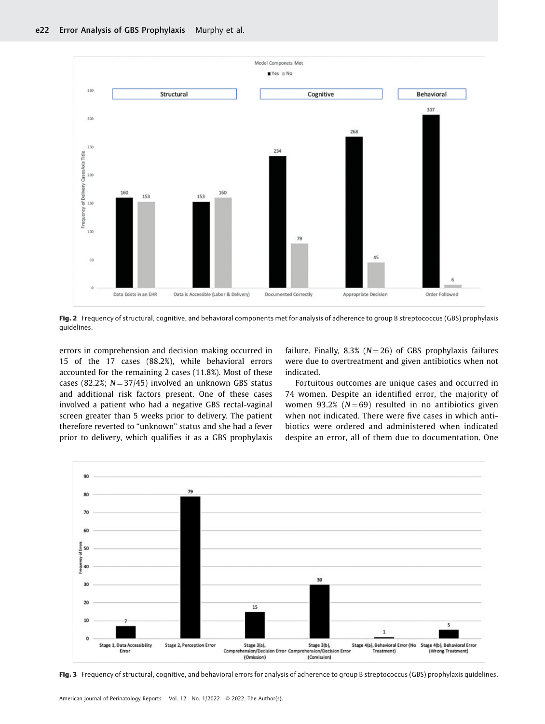

Fig. 2 Frequency of structural, cognitive, and behavioral components met for analysis of adherence to group B streptococcus (GBS) prophylaxis guidelines.

errors in comprehension and decision making occurred in 15 of the 17 cases (88.2%), while behavioral errors accounted for the remaining 2 cases (11.8%). Most of these cases (82.2%;  $N = 37/45$ ) involved an unknown GBS status and additional risk factors present. One of these cases involved a patient who had a negative GBS rectal-vaginal screen greater than 5 weeks prior to delivery. The patient therefore reverted to "unknown" status and she had a fever prior to delivery, which qualifies it as a GBS prophylaxis failure. Finally, 8.3% ( $N = 26$ ) of GBS prophylaxis failures were due to overtreatment and given antibiotics when not indicated.

Fortuitous outcomes are unique cases and occurred in 74 women. Despite an identified error, the majority of women 93.2% ( $N = 69$ ) resulted in no antibiotics given when not indicated. There were five cases in which antibiotics were ordered and administered when indicated despite an error, all of them due to documentation. One



Fig. 3 Frequency of structural, cognitive, and behavioral errors for analysis of adherence to group B streptococcus (GBS) prophylaxis guidelines.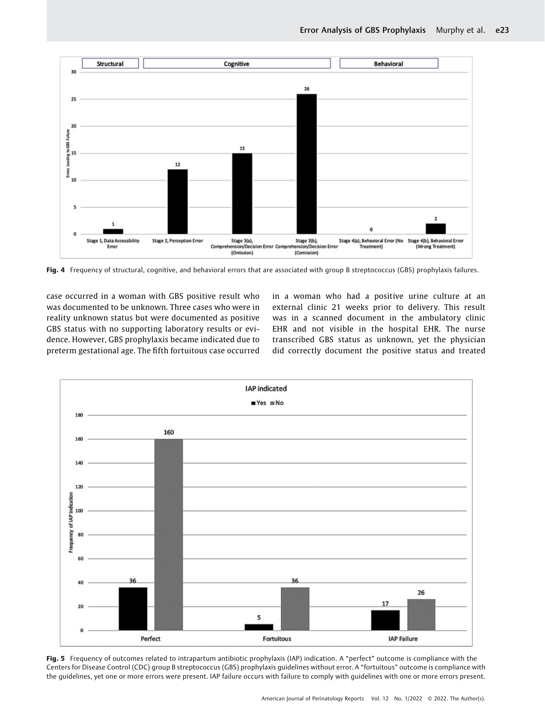

Fig. 4 Frequency of structural, cognitive, and behavioral errors that are associated with group B streptococcus (GBS) prophylaxis failures.

case occurred in a woman with GBS positive result who was documented to be unknown. Three cases who were in reality unknown status but were documented as positive GBS status with no supporting laboratory results or evidence. However, GBS prophylaxis became indicated due to preterm gestational age. The fifth fortuitous case occurred in a woman who had a positive urine culture at an external clinic 21 weeks prior to delivery. This result was in a scanned document in the ambulatory clinic EHR and not visible in the hospital EHR. The nurse transcribed GBS status as unknown, yet the physician did correctly document the positive status and treated



Fig. 5 Frequency of outcomes related to intrapartum antibiotic prophylaxis (IAP) indication. A "perfect" outcome is compliance with the Centers for Disease Control (CDC) group B streptococcus (GBS) prophylaxis guidelines without error. A "fortuitous" outcome is compliance with the guidelines, yet one or more errors were present. IAP failure occurs with failure to comply with guidelines with one or more errors present.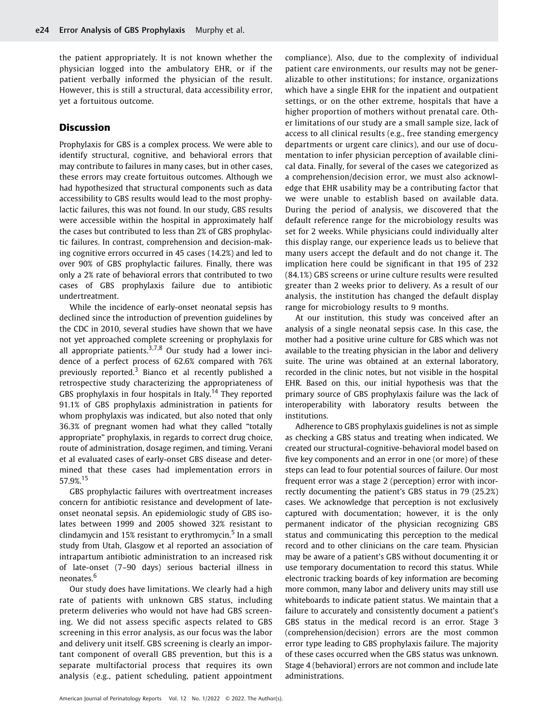the patient appropriately. It is not known whether the physician logged into the ambulatory EHR, or if the patient verbally informed the physician of the result. However, this is still a structural, data accessibility error, yet a fortuitous outcome.

# Discussion

Prophylaxis for GBS is a complex process. We were able to identify structural, cognitive, and behavioral errors that may contribute to failures in many cases, but in other cases, these errors may create fortuitous outcomes. Although we had hypothesized that structural components such as data accessibility to GBS results would lead to the most prophylactic failures, this was not found. In our study, GBS results were accessible within the hospital in approximately half the cases but contributed to less than 2% of GBS prophylactic failures. In contrast, comprehension and decision-making cognitive errors occurred in 45 cases (14.2%) and led to over 90% of GBS prophylactic failures. Finally, there was only a 2% rate of behavioral errors that contributed to two cases of GBS prophylaxis failure due to antibiotic undertreatment.

While the incidence of early-onset neonatal sepsis has declined since the introduction of prevention guidelines by the CDC in 2010, several studies have shown that we have not yet approached complete screening or prophylaxis for all appropriate patients. $3,7,8$  Our study had a lower incidence of a perfect process of 62.6% compared with 76% previously reported.<sup>3</sup> Bianco et al recently published a retrospective study characterizing the appropriateness of GBS prophylaxis in four hospitals in Italy.<sup>14</sup> They reported 91.1% of GBS prophylaxis administration in patients for whom prophylaxis was indicated, but also noted that only 36.3% of pregnant women had what they called "totally appropriate" prophylaxis, in regards to correct drug choice, route of administration, dosage regimen, and timing. Verani et al evaluated cases of early-onset GBS disease and determined that these cases had implementation errors in 57.9%.<sup>15</sup>

GBS prophylactic failures with overtreatment increases concern for antibiotic resistance and development of lateonset neonatal sepsis. An epidemiologic study of GBS isolates between 1999 and 2005 showed 32% resistant to clindamycin and 15% resistant to erythromycin. $5$  In a small study from Utah, Glasgow et al reported an association of intrapartum antibiotic administration to an increased risk of late-onset (7–90 days) serious bacterial illness in neonates.<sup>6</sup>

Our study does have limitations. We clearly had a high rate of patients with unknown GBS status, including preterm deliveries who would not have had GBS screening. We did not assess specific aspects related to GBS screening in this error analysis, as our focus was the labor and delivery unit itself. GBS screening is clearly an important component of overall GBS prevention, but this is a separate multifactorial process that requires its own analysis (e.g., patient scheduling, patient appointment compliance). Also, due to the complexity of individual patient care environments, our results may not be generalizable to other institutions; for instance, organizations which have a single EHR for the inpatient and outpatient settings, or on the other extreme, hospitals that have a higher proportion of mothers without prenatal care. Other limitations of our study are a small sample size, lack of access to all clinical results (e.g., free standing emergency departments or urgent care clinics), and our use of documentation to infer physician perception of available clinical data. Finally, for several of the cases we categorized as a comprehension/decision error, we must also acknowledge that EHR usability may be a contributing factor that we were unable to establish based on available data. During the period of analysis, we discovered that the default reference range for the microbiology results was set for 2 weeks. While physicians could individually alter this display range, our experience leads us to believe that many users accept the default and do not change it. The implication here could be significant in that 195 of 232 (84.1%) GBS screens or urine culture results were resulted greater than 2 weeks prior to delivery. As a result of our analysis, the institution has changed the default display range for microbiology results to 9 months.

At our institution, this study was conceived after an analysis of a single neonatal sepsis case. In this case, the mother had a positive urine culture for GBS which was not available to the treating physician in the labor and delivery suite. The urine was obtained at an external laboratory, recorded in the clinic notes, but not visible in the hospital EHR. Based on this, our initial hypothesis was that the primary source of GBS prophylaxis failure was the lack of interoperability with laboratory results between the institutions.

Adherence to GBS prophylaxis guidelines is not as simple as checking a GBS status and treating when indicated. We created our structural-cognitive-behavioral model based on five key components and an error in one (or more) of these steps can lead to four potential sources of failure. Our most frequent error was a stage 2 (perception) error with incorrectly documenting the patient's GBS status in 79 (25.2%) cases. We acknowledge that perception is not exclusively captured with documentation; however, it is the only permanent indicator of the physician recognizing GBS status and communicating this perception to the medical record and to other clinicians on the care team. Physician may be aware of a patient's GBS without documenting it or use temporary documentation to record this status. While electronic tracking boards of key information are becoming more common, many labor and delivery units may still use whiteboards to indicate patient status. We maintain that a failure to accurately and consistently document a patient's GBS status in the medical record is an error. Stage 3 (comprehension/decision) errors are the most common error type leading to GBS prophylaxis failure. The majority of these cases occurred when the GBS status was unknown. Stage 4 (behavioral) errors are not common and include late administrations.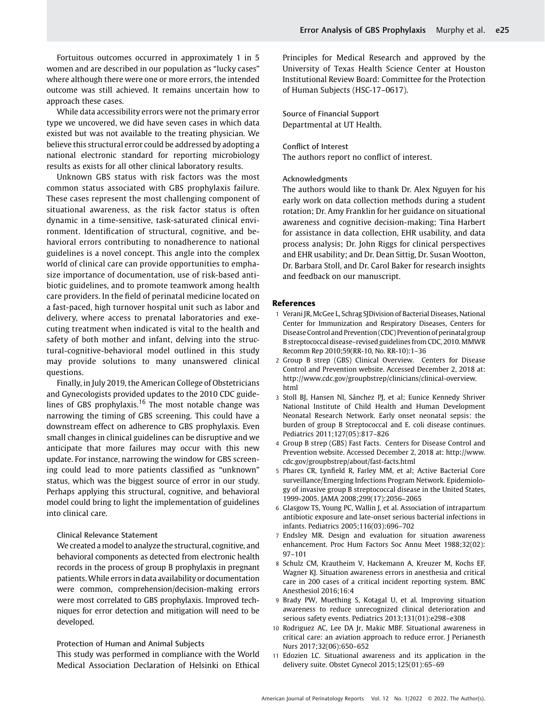While data accessibility errors were not the primary error type we uncovered, we did have seven cases in which data existed but was not available to the treating physician. We believe this structural error could be addressed by adopting a national electronic standard for reporting microbiology results as exists for all other clinical laboratory results.

approach these cases.

Unknown GBS status with risk factors was the most common status associated with GBS prophylaxis failure. These cases represent the most challenging component of situational awareness, as the risk factor status is often dynamic in a time-sensitive, task-saturated clinical environment. Identification of structural, cognitive, and behavioral errors contributing to nonadherence to national guidelines is a novel concept. This angle into the complex world of clinical care can provide opportunities to emphasize importance of documentation, use of risk-based antibiotic guidelines, and to promote teamwork among health care providers. In the field of perinatal medicine located on a fast-paced, high turnover hospital unit such as labor and delivery, where access to prenatal laboratories and executing treatment when indicated is vital to the health and safety of both mother and infant, delving into the structural-cognitive-behavioral model outlined in this study may provide solutions to many unanswered clinical questions.

Finally, in July 2019, the American College of Obstetricians and Gynecologists provided updates to the 2010 CDC guidelines of GBS prophylaxis.<sup>16</sup> The most notable change was narrowing the timing of GBS screening. This could have a downstream effect on adherence to GBS prophylaxis. Even small changes in clinical guidelines can be disruptive and we anticipate that more failures may occur with this new update. For instance, narrowing the window for GBS screening could lead to more patients classified as "unknown" status, which was the biggest source of error in our study. Perhaps applying this structural, cognitive, and behavioral model could bring to light the implementation of guidelines into clinical care.

#### Clinical Relevance Statement

We created a model to analyze the structural, cognitive, and behavioral components as detected from electronic health records in the process of group B prophylaxis in pregnant patients.While errors in data availability or documentation were common, comprehension/decision-making errors were most correlated to GBS prophylaxis. Improved techniques for error detection and mitigation will need to be developed.

#### Protection of Human and Animal Subjects

This study was performed in compliance with the World Medical Association Declaration of Helsinki on Ethical Principles for Medical Research and approved by the University of Texas Health Science Center at Houston Institutional Review Board: Committee for the Protection of Human Subjects (HSC-17–0617).

Source of Financial Support Departmental at UT Health.

### Conflict of Interest

The authors report no conflict of interest.

## Acknowledgments

The authors would like to thank Dr. Alex Nguyen for his early work on data collection methods during a student rotation; Dr. Amy Franklin for her guidance on situational awareness and cognitive decision-making; Tina Harbert for assistance in data collection, EHR usability, and data process analysis; Dr. John Riggs for clinical perspectives and EHR usability; and Dr. Dean Sittig, Dr. Susan Wootton, Dr. Barbara Stoll, and Dr. Carol Baker for research insights and feedback on our manuscript.

#### References

- 1 Verani JR, McGee L, Schrag SJDivision of Bacterial Diseases, National Center for Immunization and Respiratory Diseases, Centers for Disease Control and Prevention (CDC) Prevention of perinatal group B streptococcal disease–revised guidelines from CDC, 2010.MMWR Recomm Rep 2010;59(RR-10, No. RR-10):1–36
- 2 Group B strep (GBS) Clinical Overview. Centers for Disease Control and Prevention website. Accessed December 2, 2018 at: [http://www.cdc.gov/groupbstrep/clinicians/clinical-overview.](http://www.cdc.gov/groupbstrep/clinicians/clinical-overview.html) [html](http://www.cdc.gov/groupbstrep/clinicians/clinical-overview.html)
- 3 Stoll BJ, Hansen NI, Sánchez PJ, et al; Eunice Kennedy Shriver National Institute of Child Health and Human Development Neonatal Research Network. Early onset neonatal sepsis: the burden of group B Streptococcal and E. coli disease continues. Pediatrics 2011;127(05):817–826
- 4 Group B strep (GBS) Fast Facts. Centers for Disease Control and Prevention website. Accessed December 2, 2018 at: [http://www.](http://www.cdc.gov/groupbstrep/about/fast-facts.html) [cdc.gov/groupbstrep/about/fast-facts.html](http://www.cdc.gov/groupbstrep/about/fast-facts.html)
- 5 Phares CR, Lynfield R, Farley MM, et al; Active Bacterial Core surveillance/Emerging Infections Program Network. Epidemiology of invasive group B streptococcal disease in the United States, 1999-2005. JAMA 2008;299(17):2056–2065
- 6 Glasgow TS, Young PC, Wallin J, et al. Association of intrapartum antibiotic exposure and late-onset serious bacterial infections in infants. Pediatrics 2005;116(03):696–702
- 7 Endsley MR. Design and evaluation for situation awareness enhancement. Proc Hum Factors Soc Annu Meet 1988;32(02): 97–101
- 8 Schulz CM, Krautheim V, Hackemann A, Kreuzer M, Kochs EF, Wagner KJ. Situation awareness errors in anesthesia and critical care in 200 cases of a critical incident reporting system. BMC Anesthesiol 2016;16:4
- 9 Brady PW, Muething S, Kotagal U, et al. Improving situation awareness to reduce unrecognized clinical deterioration and serious safety events. Pediatrics 2013;131(01):e298–e308
- 10 Rodriguez AC, Lee DA Jr, Makic MBF. Situational awareness in critical care: an aviation approach to reduce error. J Perianesth Nurs 2017;32(06):650–652
- 11 Edozien LC. Situational awareness and its application in the delivery suite. Obstet Gynecol 2015;125(01):65–69